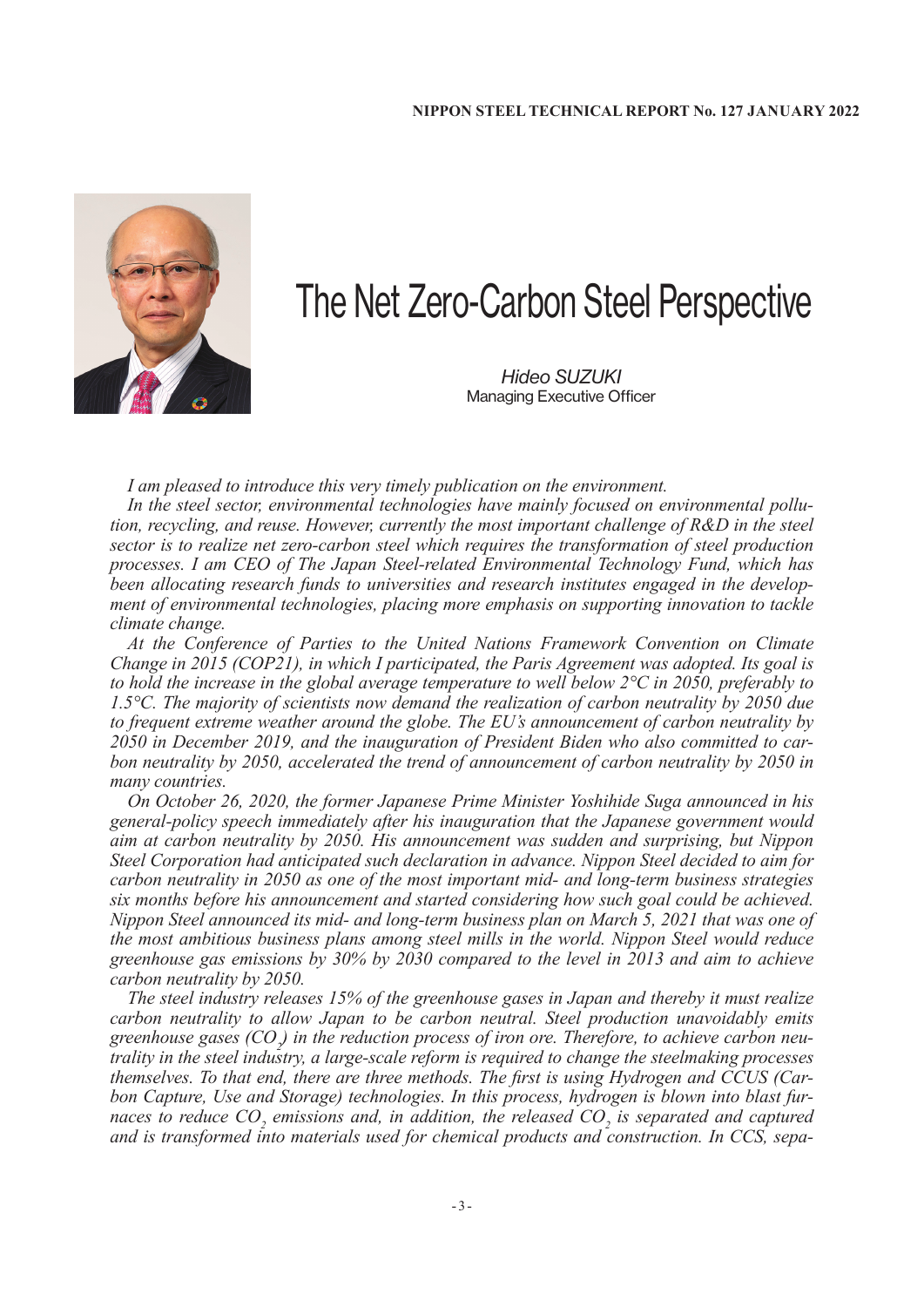

## The Net Zero-Carbon Steel Perspective

*Hideo SUZUKI* Managing Executive Officer

*I am pleased to introduce this very timely publication on the environment.*

*In the steel sector, environmental technologies have mainly focused on environmental pollution, recycling, and reuse. However, currently the most important challenge of R&D in the steel sector is to realize net zero-carbon steel which requires the transformation of steel production processes. I am CEO of The Japan Steel-related Environmental Technology Fund, which has been allocating research funds to universities and research institutes engaged in the development of environmental technologies, placing more emphasis on supporting innovation to tackle climate change.*

*At the Conference of Parties to the United Nations Framework Convention on Climate Change in 2015 (COP21), in which I participated, the Paris Agreement was adopted. Its goal is to hold the increase in the global average temperature to well below 2°C in 2050, preferably to 1.5°C. The majority of scientists now demand the realization of carbon neutrality by 2050 due to frequent extreme weather around the globe. The EU's announcement of carbon neutrality by 2050 in December 2019, and the inauguration of President Biden who also committed to carbon neutrality by 2050, accelerated the trend of announcement of carbon neutrality by 2050 in many countries.*

*On October 26, 2020, the former Japanese Prime Minister Yoshihide Suga announced in his general-policy speech immediately after his inauguration that the Japanese government would aim at carbon neutrality by 2050. His announcement was sudden and surprising, but Nippon Steel Corporation had anticipated such declaration in advance. Nippon Steel decided to aim for carbon neutrality in 2050 as one of the most important mid- and long-term business strategies six months before his announcement and started considering how such goal could be achieved. Nippon Steel announced its mid- and long-term business plan on March 5, 2021 that was one of the most ambitious business plans among steel mills in the world. Nippon Steel would reduce greenhouse gas emissions by 30% by 2030 compared to the level in 2013 and aim to achieve carbon neutrality by 2050.*

*The steel industry releases 15% of the greenhouse gases in Japan and thereby it must realize carbon neutrality to allow Japan to be carbon neutral. Steel production unavoidably emits*  greenhouse gases (CO<sub>2</sub>) in the reduction process of iron ore. Therefore, to achieve carbon neu*trality in the steel industry, a large-scale reform is required to change the steelmaking processes themselves. To that end, there are three methods. The first is using Hydrogen and CCUS (Carbon Capture, Use and Storage) technologies. In this process, hydrogen is blown into blast furnaces to reduce CO<sub>2</sub> emissions and, in addition, the released CO<sub>2</sub> is separated and captured and is transformed into materials used for chemical products and construction. In CCS, sepa-*